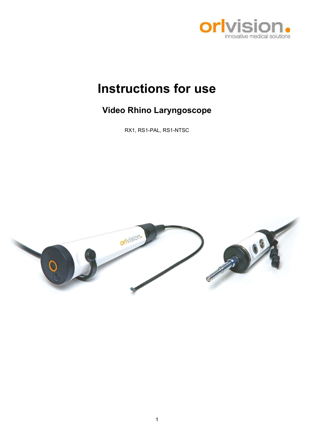

# Instructions for use

# Video Rhino Laryngoscope

RX1, RS1-PAL, RS1-NTSC

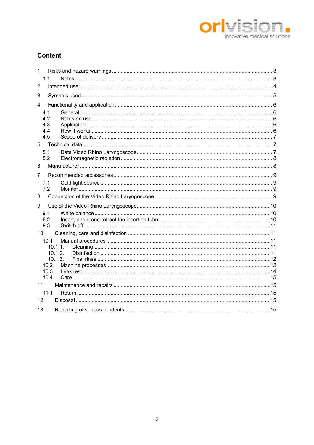

# **Content**

| 1               |                                                               |  |  |  |  |
|-----------------|---------------------------------------------------------------|--|--|--|--|
|                 | 1.1                                                           |  |  |  |  |
| $\overline{2}$  |                                                               |  |  |  |  |
| 3               |                                                               |  |  |  |  |
| 4               |                                                               |  |  |  |  |
|                 | 4.1<br>4.2<br>4.3<br>4.4<br>4.5                               |  |  |  |  |
| 5               |                                                               |  |  |  |  |
|                 | 5.1<br>5.2                                                    |  |  |  |  |
| 6               |                                                               |  |  |  |  |
| 7               |                                                               |  |  |  |  |
|                 | 7.1<br>7.2                                                    |  |  |  |  |
| 8               |                                                               |  |  |  |  |
| 9               |                                                               |  |  |  |  |
|                 | 9.1<br>9.2<br>9.3                                             |  |  |  |  |
| 10 <sup>1</sup> |                                                               |  |  |  |  |
|                 | 10.1<br>10.1.1.<br>10.1.2.<br>10.1.3.<br>10.2<br>10.3<br>10.4 |  |  |  |  |
| 11              |                                                               |  |  |  |  |
|                 | 11.1                                                          |  |  |  |  |
| 12              |                                                               |  |  |  |  |
| 13              |                                                               |  |  |  |  |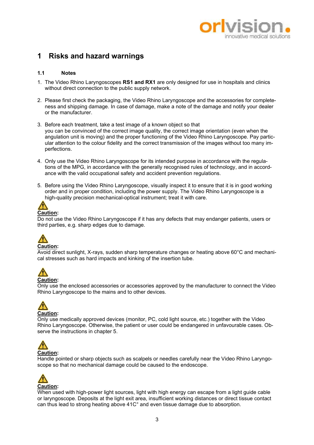

# 1 Risks and hazard warnings

### 1.1 Notes

- 1. The Video Rhino Laryngoscopes RS1 and RX1 are only designed for use in hospitals and clinics without direct connection to the public supply network.
- 2. Please first check the packaging, the Video Rhino Laryngoscope and the accessories for completeness and shipping damage. In case of damage, make a note of the damage and notify your dealer or the manufacturer.
- 3. Before each treatment, take a test image of a known object so that you can be convinced of the correct image quality, the correct image orientation (even when the angulation unit is moving) and the proper functioning of the Video Rhino Laryngoscope. Pay particular attention to the colour fidelity and the correct transmission of the images without too many imperfections.
- 4. Only use the Video Rhino Laryngoscope for its intended purpose in accordance with the regulations of the MPG, in accordance with the generally recognised rules of technology, and in accordance with the valid occupational safety and accident prevention regulations.
- 5. Before using the Video Rhino Laryngoscope, visually inspect it to ensure that it is in good working order and in proper condition, including the power supply. The Video Rhino Laryngoscope is a high-quality precision mechanical-optical instrument; treat it with care.



Do not use the Video Rhino Laryngoscope if it has any defects that may endanger patients, users or third parties, e.g. sharp edges due to damage.



Avoid direct sunlight, X-rays, sudden sharp temperature changes or heating above 60°C and mechanical stresses such as hard impacts and kinking of the insertion tube.



Only use the enclosed accessories or accessories approved by the manufacturer to connect the Video Rhino Laryngoscope to the mains and to other devices.



Only use medically approved devices (monitor, PC, cold light source, etc.) together with the Video Rhino Laryngoscope. Otherwise, the patient or user could be endangered in unfavourable cases. Observe the instructions in chapter 5.



Handle pointed or sharp objects such as scalpels or needles carefully near the Video Rhino Laryngoscope so that no mechanical damage could be caused to the endoscope.



When used with high-power light sources, light with high energy can escape from a light guide cable or laryngoscope. Deposits at the light exit area, insufficient working distances or direct tissue contact can thus lead to strong heating above 41C° and even tissue damage due to absorption.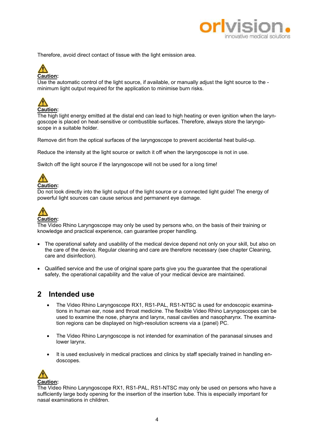

Therefore, avoid direct contact of tissue with the light emission area.

# Caution:

Use the automatic control of the light source, if available, or manually adjust the light source to the minimum light output required for the application to minimise burn risks.



The high light energy emitted at the distal end can lead to high heating or even ignition when the laryngoscope is placed on heat-sensitive or combustible surfaces. Therefore, always store the laryngoscope in a suitable holder.

Remove dirt from the optical surfaces of the laryngoscope to prevent accidental heat build-up.

Reduce the intensity at the light source or switch it off when the laryngoscope is not in use.

Switch off the light source if the laryngoscope will not be used for a long time!



# Caution:

Do not look directly into the light output of the light source or a connected light guide! The energy of powerful light sources can cause serious and permanent eye damage.



The Video Rhino Laryngoscope may only be used by persons who, on the basis of their training or knowledge and practical experience, can guarantee proper handling.

- The operational safety and usability of the medical device depend not only on your skill, but also on the care of the device. Regular cleaning and care are therefore necessary (see chapter Cleaning, care and disinfection).
- Qualified service and the use of original spare parts give you the guarantee that the operational safety, the operational capability and the value of your medical device are maintained.

# 2 Intended use

- The Video Rhino Laryngoscope RX1, RS1-PAL, RS1-NTSC is used for endoscopic examinations in human ear, nose and throat medicine. The flexible Video Rhino Laryngoscopes can be used to examine the nose, pharynx and larynx, nasal cavities and nasopharynx. The examination regions can be displayed on high-resolution screens via a (panel) PC.
- The Video Rhino Laryngoscope is not intended for examination of the paranasal sinuses and lower larynx.
- It is used exclusively in medical practices and clinics by staff specially trained in handling endoscopes.



The Video Rhino Laryngoscope RX1, RS1-PAL, RS1-NTSC may only be used on persons who have a sufficiently large body opening for the insertion of the insertion tube. This is especially important for nasal examinations in children.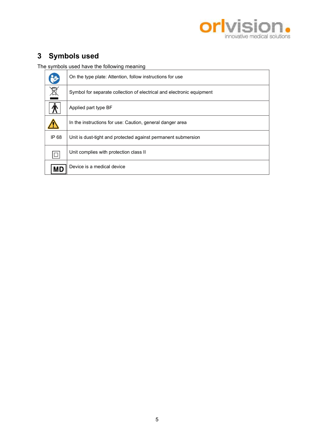

# 3 Symbols used

The symbols used have the following meaning

|           | On the type plate: Attention, follow instructions for use             |
|-----------|-----------------------------------------------------------------------|
| X         | Symbol for separate collection of electrical and electronic equipment |
|           | Applied part type BF                                                  |
|           | In the instructions for use: Caution, general danger area             |
| IP 68     | Unit is dust-tight and protected against permanent submersion         |
| $\Box$    | Unit complies with protection class II                                |
| <b>MD</b> | Device is a medical device                                            |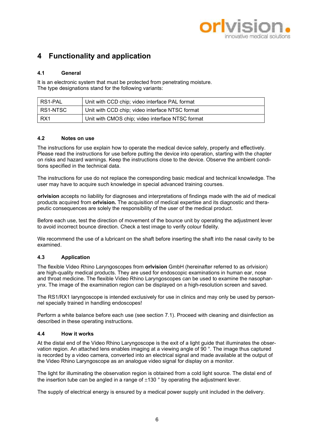

# 4 Functionality and application

# 4.1 General

It is an electronic system that must be protected from penetrating moisture. The type designations stand for the following variants:

| RS1-PAL  | Unit with CCD chip; video interface PAL format   |  |
|----------|--------------------------------------------------|--|
| RS1-NTSC | Unit with CCD chip; video interface NTSC format  |  |
| RX1      | Unit with CMOS chip; video interface NTSC format |  |

# 4.2 Notes on use

The instructions for use explain how to operate the medical device safely, properly and effectively. Please read the instructions for use before putting the device into operation, starting with the chapter on risks and hazard warnings. Keep the instructions close to the device. Observe the ambient conditions specified in the technical data.

The instructions for use do not replace the corresponding basic medical and technical knowledge. The user may have to acquire such knowledge in special advanced training courses.

orlvision accepts no liability for diagnoses and interpretations of findings made with the aid of medical products acquired from orlvision. The acquisition of medical expertise and its diagnostic and therapeutic consequences are solely the responsibility of the user of the medical product.

Before each use, test the direction of movement of the bounce unit by operating the adjustment lever to avoid incorrect bounce direction. Check a test image to verify colour fidelity.

We recommend the use of a lubricant on the shaft before inserting the shaft into the nasal cavity to be examined.

# 4.3 Application

The flexible Video Rhino Laryngoscopes from **orlvision** GmbH (hereinafter referred to as orlvision) are high-quality medical products. They are used for endoscopic examinations in human ear, nose and throat medicine. The flexible Video Rhino Laryngoscopes can be used to examine the nasopharynx. The image of the examination region can be displayed on a high-resolution screen and saved.

The RS1/RX1 laryngoscope is intended exclusively for use in clinics and may only be used by personnel specially trained in handling endoscopes!

Perform a white balance before each use (see section 7.1). Proceed with cleaning and disinfection as described in these operating instructions.

# 4.4 How it works

At the distal end of the Video Rhino Laryngoscope is the exit of a light guide that illuminates the observation region. An attached lens enables imaging at a viewing angle of 90 °. The image thus captured is recorded by a video camera, converted into an electrical signal and made available at the output of the Video Rhino Laryngoscope as an analogue video signal for display on a monitor.

The light for illuminating the observation region is obtained from a cold light source. The distal end of the insertion tube can be angled in a range of  $\pm$ 130  $\degree$  by operating the adjustment lever.

The supply of electrical energy is ensured by a medical power supply unit included in the delivery.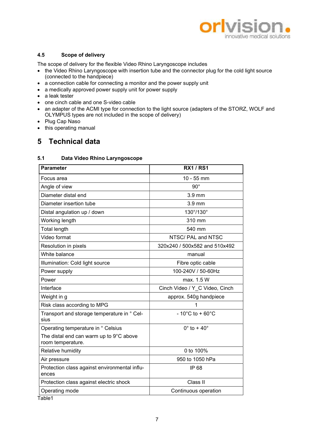

# 4.5 Scope of delivery

The scope of delivery for the flexible Video Rhino Laryngoscope includes

- the Video Rhino Laryngoscope with insertion tube and the connector plug for the cold light source (connected to the handpiece)
- a connection cable for connecting a monitor and the power supply unit
- a medically approved power supply unit for power supply
- a leak tester
- one cinch cable and one S-video cable
- an adapter of the ACMI type for connection to the light source (adapters of the STORZ, WOLF and OLYMPUS types are not included in the scope of delivery)
- Plug Cap Naso
- this operating manual

# 5 Technical data

# 5.1 Data Video Rhino Laryngoscope

| <b>Parameter</b>                                             | <b>RX1 / RS1</b>                     |
|--------------------------------------------------------------|--------------------------------------|
| Focus area                                                   | 10 - 55 mm                           |
| Angle of view                                                | $90^\circ$                           |
| Diameter distal end                                          | 3.9 mm                               |
| Diameter insertion tube                                      | $3.9$ mm                             |
| Distal angulation up / down                                  | 130°/130°                            |
| Working length                                               | 310 mm                               |
| <b>Total length</b>                                          | 540 mm                               |
| Video format                                                 | NTSC/PAL and NTSC                    |
| Resolution in pixels                                         | 320x240 / 500x582 and 510x492        |
| White balance                                                | manual                               |
| Illumination: Cold light source                              | Fibre optic cable                    |
| Power supply                                                 | 100-240V / 50-60Hz                   |
| Power                                                        | max. 1.5 W                           |
| Interface                                                    | Cinch Video / Y C Video, Cinch       |
| Weight in g                                                  | approx. 540g handpiece               |
| Risk class according to MPG                                  |                                      |
| Transport and storage temperature in ° Cel-<br>sius          | $-10^{\circ}$ C to + 60 $^{\circ}$ C |
| Operating temperature in ° Celsius                           | $0^\circ$ to + 40 $^\circ$           |
| The distal end can warm up to 9°C above<br>room temperature. |                                      |
| Relative humidity                                            | 0 to 100%                            |
| Air pressure                                                 | 950 to 1050 hPa                      |
| Protection class against environmental influ-<br>ences       | IP 68                                |
| Protection class against electric shock                      | Class II                             |
| Operating mode                                               | Continuous operation                 |

Table1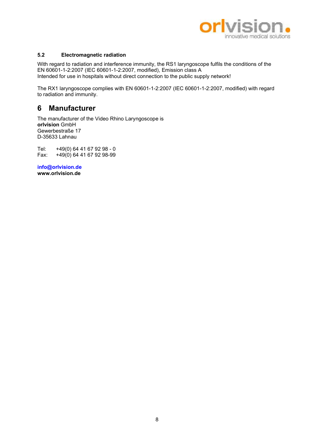

# 5.2 Electromagnetic radiation

With regard to radiation and interference immunity, the RS1 laryngoscope fulfils the conditions of the EN 60601-1-2:2007 (IEC 60601-1-2:2007, modified), Emission class A Intended for use in hospitals without direct connection to the public supply network!

The RX1 laryngoscope complies with EN 60601-1-2:2007 (IEC 60601-1-2:2007, modified) with regard to radiation and immunity.

# 6 Manufacturer

The manufacturer of the Video Rhino Laryngoscope is orlvision GmbH Gewerbestraße 17 D-35633 Lahnau

Tel: +49(0) 64 41 67 92 98 - 0<br>Fax: +49(0) 64 41 67 92 98-99  $+49(0)$  64 41 67 92 98-99

info@orlvision.de www.orlvision.de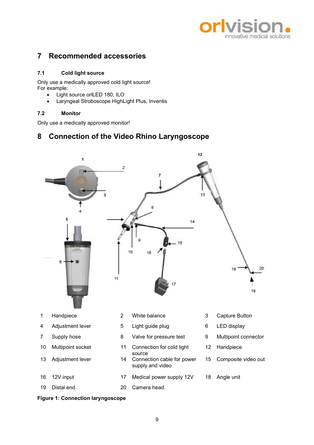

# 7 Recommended accessories

# 7.1 Cold light source

Only use a medically approved cold light source! For example:

- Light source orlLED 180, ILO
- Laryngeal Stroboscope HighLight Plus, Inventis

# 7.2 Monitor

Only use a medically approved monitor!

# 8 Connection of the Video Rhino Laryngoscope



# Figure 1: Connection laryngoscope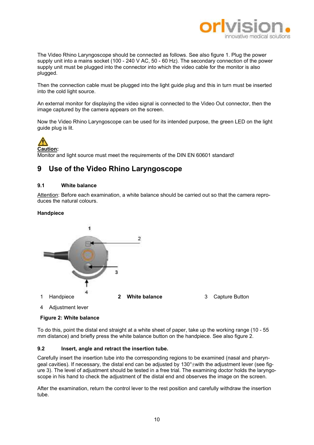

The Video Rhino Laryngoscope should be connected as follows. See also figure 1. Plug the power supply unit into a mains socket (100 - 240 V AC, 50 - 60 Hz). The secondary connection of the power supply unit must be plugged into the connector into which the video cable for the monitor is also plugged.

Then the connection cable must be plugged into the light guide plug and this in turn must be inserted into the cold light source.

An external monitor for displaying the video signal is connected to the Video Out connector, then the image captured by the camera appears on the screen.

Now the Video Rhino Laryngoscope can be used for its intended purpose, the green LED on the light guide plug is lit.



Monitor and light source must meet the requirements of the DIN EN 60601 standard!

# 9 Use of the Video Rhino Laryngoscope

### 9.1 White balance

Attention: Before each examination, a white balance should be carried out so that the camera reproduces the natural colours.

### Handpiece



# Figure 2: White balance

To do this, point the distal end straight at a white sheet of paper, take up the working range (10 - 55 mm distance) and briefly press the white balance button on the handpiece. See also figure 2.

### 9.2 Insert, angle and retract the insertion tube.

Carefully insert the insertion tube into the corresponding regions to be examined (nasal and pharyngeal cavities). If necessary, the distal end can be adjusted by  $130^{\circ}$  with the adjustment lever (see figure 3). The level of adjustment should be tested in a free trial. The examining doctor holds the laryngoscope in his hand to check the adjustment of the distal end and observes the image on the screen.

After the examination, return the control lever to the rest position and carefully withdraw the insertion tube.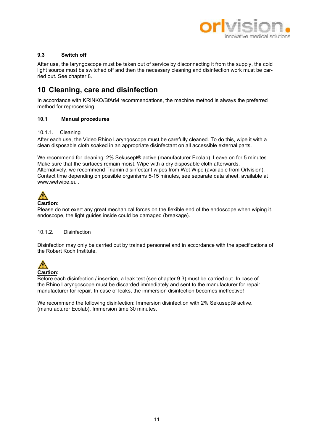

# 9.3 Switch off

After use, the laryngoscope must be taken out of service by disconnecting it from the supply, the cold light source must be switched off and then the necessary cleaning and disinfection work must be carried out. See chapter 8.

# 10 Cleaning, care and disinfection

In accordance with KRINKO/BfArM recommendations, the machine method is always the preferred method for reprocessing.

# 10.1 Manual procedures

### 10.1.1. Cleaning

After each use, the Video Rhino Laryngoscope must be carefully cleaned. To do this, wipe it with a clean disposable cloth soaked in an appropriate disinfectant on all accessible external parts.

We recommend for cleaning: 2% Sekusept® active (manufacturer Ecolab). Leave on for 5 minutes. Make sure that the surfaces remain moist. Wipe with a dry disposable cloth afterwards. Alternatively, we recommend Triamin disinfectant wipes from Wet Wipe (available from Orlvision). Contact time depending on possible organisms 5-15 minutes, see separate data sheet, available at www.wetwipe.eu .



### Caution:

Please do not exert any great mechanical forces on the flexible end of the endoscope when wiping it. endoscope, the light guides inside could be damaged (breakage).

### 10.1.2. Disinfection

Disinfection may only be carried out by trained personnel and in accordance with the specifications of the Robert Koch Institute.



Before each disinfection / insertion, a leak test (see chapter 9.3) must be carried out. In case of the Rhino Laryngoscope must be discarded immediately and sent to the manufacturer for repair. manufacturer for repair. In case of leaks, the immersion disinfection becomes ineffective!

We recommend the following disinfection: Immersion disinfection with 2% Sekusept® active. (manufacturer Ecolab). Immersion time 30 minutes.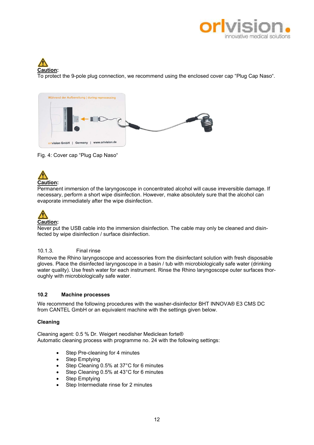

# Caution:

To protect the 9-pole plug connection, we recommend using the enclosed cover cap "Plug Cap Naso".



Fig. 4: Cover cap "Plug Cap Naso"



Permanent immersion of the laryngoscope in concentrated alcohol will cause irreversible damage. If necessary, perform a short wipe disinfection. However, make absolutely sure that the alcohol can evaporate immediately after the wipe disinfection.

# Caution:

Never put the USB cable into the immersion disinfection. The cable may only be cleaned and disinfected by wipe disinfection / surface disinfection.

# 10.1.3. Final rinse

Remove the Rhino laryngoscope and accessories from the disinfectant solution with fresh disposable gloves. Place the disinfected laryngoscope in a basin / tub with microbiologically safe water (drinking water quality). Use fresh water for each instrument. Rinse the Rhino laryngoscope outer surfaces thoroughly with microbiologically safe water.

# 10.2 Machine processes

We recommend the following procedures with the washer-disinfector BHT INNOVA® E3 CMS DC from CANTEL GmbH or an equivalent machine with the settings given below.

# Cleaning

Cleaning agent: 0.5 % Dr. Weigert neodisher Mediclean forte® Automatic cleaning process with programme no. 24 with the following settings:

- Step Pre-cleaning for 4 minutes
- Step Emptying
- Step Cleaning 0.5% at 37°C for 6 minutes
- Step Cleaning 0.5% at 43°C for 6 minutes
- Step Emptying
- Step Intermediate rinse for 2 minutes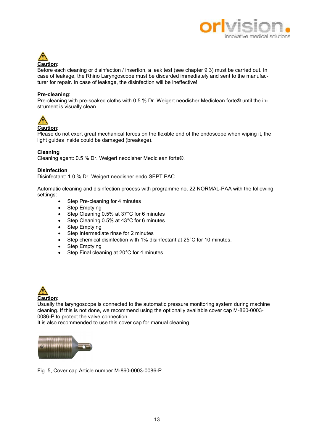



Before each cleaning or disinfection / insertion, a leak test (see chapter 9.3) must be carried out. In case of leakage, the Rhino Laryngoscope must be discarded immediately and sent to the manufacturer for repair. In case of leakage, the disinfection will be ineffective!

### Pre-cleaning:

Pre-cleaning with pre-soaked cloths with 0.5 % Dr. Weigert neodisher Mediclean forte® until the instrument is visually clean.



# Caution:

Please do not exert great mechanical forces on the flexible end of the endoscope when wiping it, the light guides inside could be damaged (breakage).

### Cleaning

Cleaning agent: 0.5 % Dr. Weigert neodisher Mediclean forte®.

### **Disinfection**

Disinfectant: 1.0 % Dr. Weigert neodisher endo SEPT PAC

Automatic cleaning and disinfection process with programme no. 22 NORMAL-PAA with the following settings:

- Step Pre-cleaning for 4 minutes
- Step Emptying
- Step Cleaning 0.5% at 37°C for 6 minutes
- Step Cleaning 0.5% at 43°C for 6 minutes
- Step Emptying
- Step Intermediate rinse for 2 minutes
- Step chemical disinfection with 1% disinfectant at 25°C for 10 minutes.
- Step Emptying
- Step Final cleaning at 20°C for 4 minutes



Usually the laryngoscope is connected to the automatic pressure monitoring system during machine cleaning. If this is not done, we recommend using the optionally available cover cap M-860-0003- 0086-P to protect the valve connection.

It is also recommended to use this cover cap for manual cleaning.



Fig. 5, Cover cap Article number M-860-0003-0086-P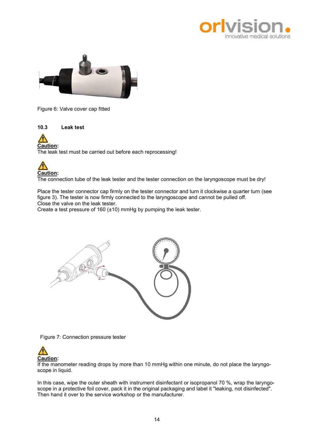



Figure 6: Valve cover cap fitted

10.3 Leak test



The leak test must be carried out before each reprocessing!



The connection tube of the leak tester and the tester connection on the laryngoscope must be dry!

Place the tester connector cap firmly on the tester connector and turn it clockwise a quarter turn (see figure 3). The tester is now firmly connected to the laryngoscope and cannot be pulled off. Close the valve on the leak tester.

Create a test pressure of 160 (±10) mmHg by pumping the leak tester.



Figure 7: Connection pressure tester



If the manometer reading drops by more than 10 mmHg within one minute, do not place the laryngoscope in liquid.

In this case, wipe the outer sheath with instrument disinfectant or isopropanol 70 %, wrap the laryngoscope in a protective foil cover, pack it in the original packaging and label it "leaking, not disinfected". Then hand it over to the service workshop or the manufacturer.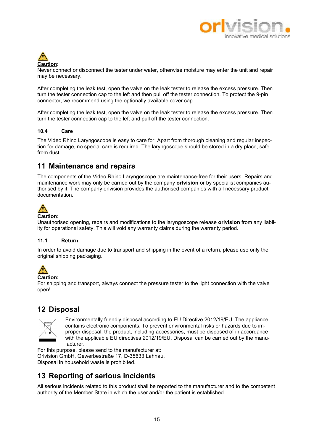



Never connect or disconnect the tester under water, otherwise moisture may enter the unit and repair may be necessary.

After completing the leak test, open the valve on the leak tester to release the excess pressure. Then turn the tester connection cap to the left and then pull off the tester connection. To protect the 9-pin connector, we recommend using the optionally available cover cap.

After completing the leak test, open the valve on the leak tester to release the excess pressure. Then turn the tester connection cap to the left and pull off the tester connection.

### 10.4 Care

The Video Rhino Laryngoscope is easy to care for. Apart from thorough cleaning and regular inspection for damage, no special care is required. The laryngoscope should be stored in a dry place, safe from dust.

# 11 Maintenance and repairs

The components of the Video Rhino Laryngoscope are maintenance-free for their users. Repairs and maintenance work may only be carried out by the company **orlyision** or by specialist companies authorised by it. The company orlvision provides the authorised companies with all necessary product documentation.



Unauthorised opening, repairs and modifications to the laryngoscope release orlvision from any liability for operational safety. This will void any warranty claims during the warranty period.

### 11.1 Return

In order to avoid damage due to transport and shipping in the event of a return, please use only the original shipping packaging.



Caution:

For shipping and transport, always connect the pressure tester to the light connection with the valve open!

# 12 Disposal



Environmentally friendly disposal according to EU Directive 2012/19/EU. The appliance contains electronic components. To prevent environmental risks or hazards due to improper disposal, the product, including accessories, must be disposed of in accordance with the applicable EU directives 2012/19/EU. Disposal can be carried out by the manufacturer.

For this purpose, please send to the manufacturer at: Orlvision GmbH, Gewerbestraße 17, D-35633 Lahnau. Disposal in household waste is prohibited.

# 13 Reporting of serious incidents

All serious incidents related to this product shall be reported to the manufacturer and to the competent authority of the Member State in which the user and/or the patient is established.